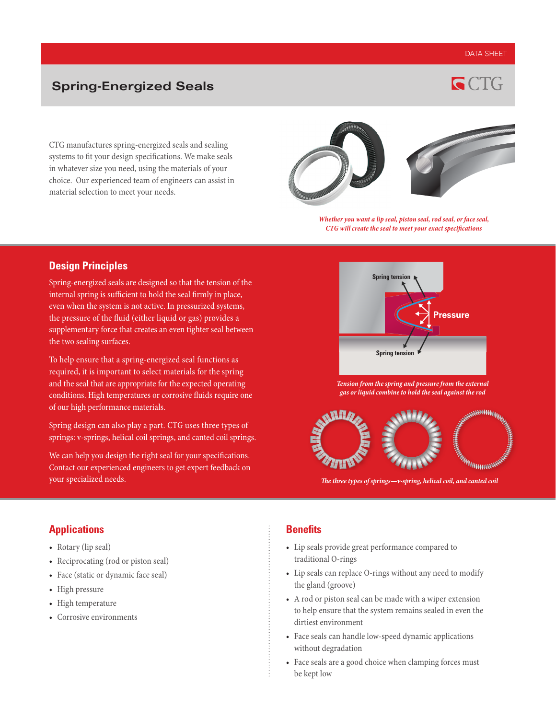## DATA SHEET

**GCTG** 

## **Spring-Energized Seals**

CTG manufactures spring-energized seals and sealing systems to fit your design specifications. We make seals in whatever size you need, using the materials of your choice. Our experienced team of engineers can assist in material selection to meet your needs.



*Whether you want a lip seal, piston seal, rod seal, or face seal, CTG will create the seal to meet your exact specifications*

## **Design Principles**

Spring-energized seals are designed so that the tension of the internal spring is sufficient to hold the seal firmly in place, even when the system is not active. In pressurized systems, the pressure of the fluid (either liquid or gas) provides a supplementary force that creates an even tighter seal between the two sealing surfaces.

To help ensure that a spring-energized seal functions as required, it is important to select materials for the spring and the seal that are appropriate for the expected operating conditions. High temperatures or corrosive fluids require one of our high performance materials.

Spring design can also play a part. CTG uses three types of springs: v-springs, helical coil springs, and canted coil springs.

We can help you design the right seal for your specifications. Contact our experienced engineers to get expert feedback on your specialized needs.



*Tension from the spring and pressure from the external gas or liquid combine to hold the seal against the rod*



*The three types of springs—v-spring, helical coil, and canted coil* 

## **Applications**

- Rotary (lip seal)
- Reciprocating (rod or piston seal)
- Face (static or dynamic face seal)
- High pressure
- High temperature
- Corrosive environments

### **Benefits**

- Lip seals provide great performance compared to traditional O-rings
- Lip seals can replace O-rings without any need to modify the gland (groove)
- A rod or piston seal can be made with a wiper extension to help ensure that the system remains sealed in even the dirtiest environment
- Face seals can handle low-speed dynamic applications without degradation
- Face seals are a good choice when clamping forces must be kept low